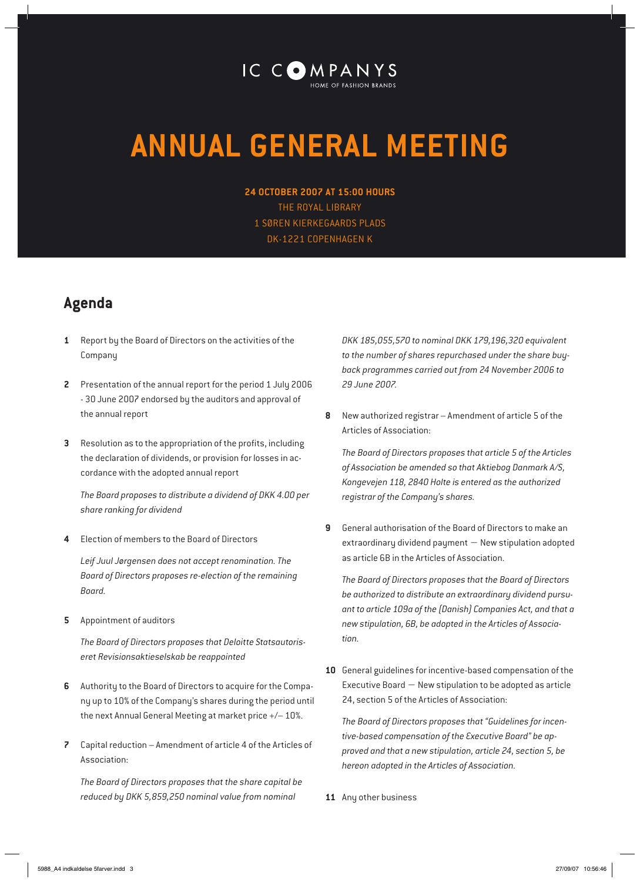## IC COMPANYS

## **ANNUAL GENERAL MEETING**

**24 OCTOBER 2007 AT 15:00 HOURS** THE ROYAL LIBRARY 1 SØREN KIERKEGAARDS PLADS DK-1221 COPENHAGEN K

## **Agenda**

- **1** Report by the Board of Directors on the activities of the Company
- **2** Presentation of the annual report for the period 1 July 2006 - 30 June 2007 endorsed by the auditors and approval of the annual report
- **3** Resolution as to the appropriation of the profits, including the declaration of dividends, or provision for losses in accordance with the adopted annual report

*The Board proposes to distribute a dividend of DKK 4.00 per share ranking for dividend*

**4** Election of members to the Board of Directors

*Leif Juul Jørgensen does not accept renomination. The Board of Directors proposes re-election of the remaining Board.* 

**5** Appointment of auditors

*The Board of Directors proposes that Deloitte Statsautoriseret Revisionsaktieselskab be reappointed*

- **6** Authority to the Board of Directors to acquire for the Company up to 10% of the Company's shares during the period until the next Annual General Meeting at market price +/– 10%.
- **7** Capital reduction Amendment of article 4 of the Articles of Association:

*The Board of Directors proposes that the share capital be reduced by DKK 5,859,250 nominal value from nominal* 

*DKK 185,055,570 to nominal DKK 179,196,320 equivalent to the number of shares repurchased under the share buyback programmes carried out from 24 November 2006 to 29 June 2007.*

**8** New authorized registrar – Amendment of article 5 of the Articles of Association:

*The Board of Directors proposes that article 5 of the Articles of Association be amended so that Aktiebog Danmark A/S, Kongevejen 118, 2840 Holte is entered as the authorized registrar of the Company's shares.*

**9** General authorisation of the Board of Directors to make an extraordinary dividend payment − New stipulation adopted as article 6B in the Articles of Association.

*The Board of Directors proposes that the Board of Directors be authorized to distribute an extraordinary dividend pursuant to article 109a of the (Danish) Companies Act, and that a new stipulation, 6B, be adopted in the Articles of Association.*

**10** General guidelines for incentive-based compensation of the Executive Board − New stipulation to be adopted as article 24, section 5 of the Articles of Association:

*The Board of Directors proposes that "Guidelines for incentive-based compensation of the Executive Board" be approved and that a new stipulation, article 24, section 5, be hereon adopted in the Articles of Association.*

**11** Any other business